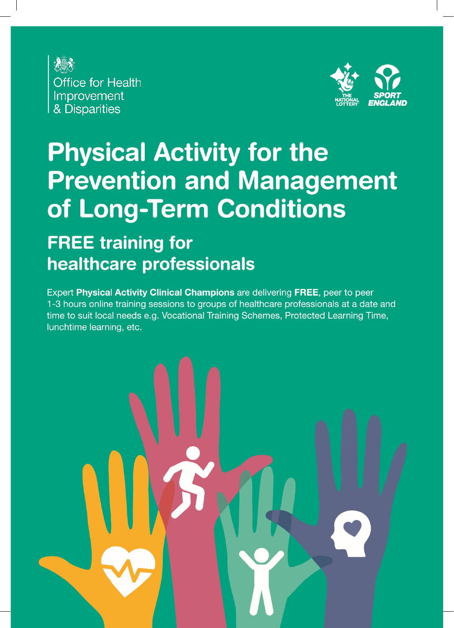



# **Physical Activity for the Prevention and Management** of Long-Term Conditions

#### **FREE training for** healthcare professionals

Expert Physical Activity Clinical Champions are delivering FREE, peer to peer 1-3 hours online training sessions to groups of healthcare professionals at a date and time to suit local needs e.g. Vocational Training Schemes, Protected Learning Time, lunchtime learning, etc.

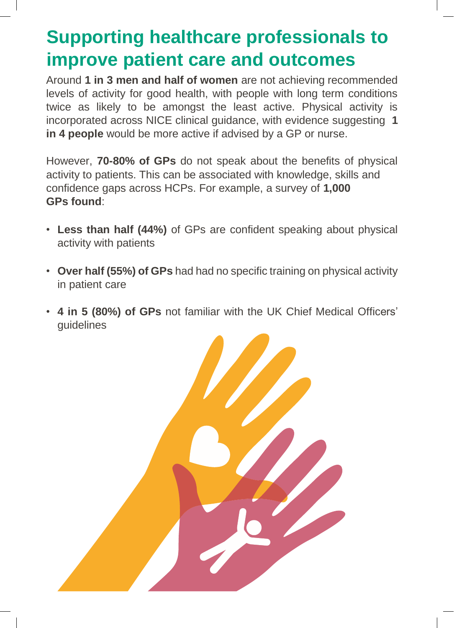### **Supporting healthcare professionals to improve patient care and outcomes**

Around **1 in 3 men and half of women** are not achieving recommended levels of activity for good health, with people with long term conditions twice as likely to be amongst the least active. Physical activity is incorporated across NICE clinical guidance, with evidence suggesting **1 in 4 people** would be more active if advised by a GP or nurse.

However, **70-80% of GPs** do not speak about the benefits of physical activity to patients. This can be associated with knowledge, skills and confidence gaps across HCPs. For example, a survey of **1,000 GPs found**:

- **Less than half (44%)** of GPs are confident speaking about physical activity with patients
- **Over half (55%) of GPs** had had no specific training on physical activity in patient care
- **4 in 5 (80%) of GPs** not familiar with the UK Chief Medical Officers' guidelines

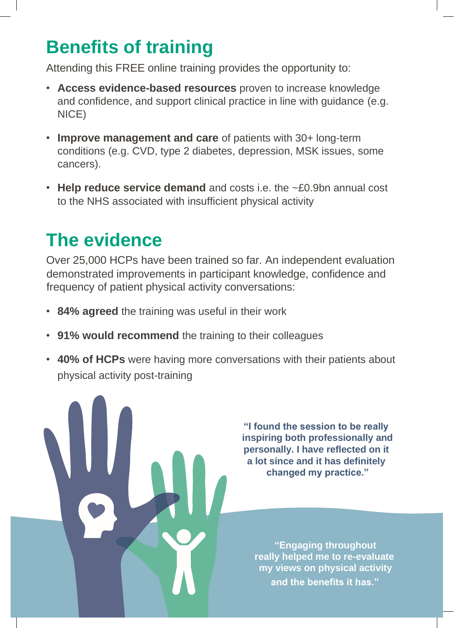## **Benefits of training**

Attending this FREE online training provides the opportunity to:

- **Access evidence-based resources** proven to increase knowledge and confidence, and support clinical practice in line with guidance (e.g. NICE)
- **Improve management and care** of patients with 30+ long-term conditions (e.g. CVD, type 2 diabetes, depression, MSK issues, some cancers).
- **Help reduce service demand** and costs i.e. the ~£0.9bn annual cost to the NHS associated with insufficient physical activity

## **The evidence**

Over 25,000 HCPs have been trained so far. An independent evaluation demonstrated improvements in participant knowledge, confidence and frequency of patient physical activity conversations:

- **84% agreed** the training was useful in their work
- **91% would recommend** the training to their colleagues
- **40% of HCPs** were having more conversations with their patients about physical activity post-training

**"I found the session to be really inspiring both professionally and personally. I have reflected on it a lot since and it has definitely changed my practice."**

**"Engaging throughout really helped me to re-evaluate my views on physical activity and the benefits it has."**